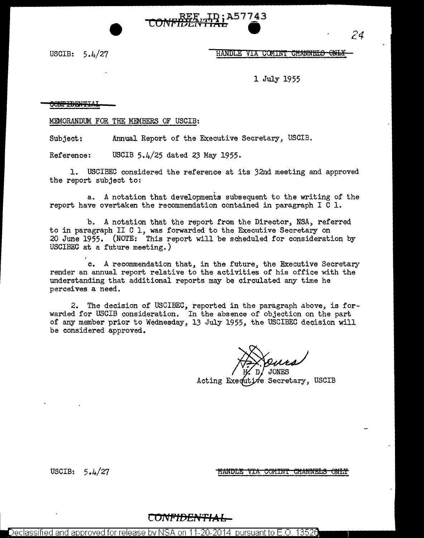

# USCIB:  $5.4/27$  HANDLE VIA COMINT CHANNELS ONL

1 July 1955

#### **CONFIDENTI**

MEMORANDUM FOR THE MEMBERS OF USCIB:

Subject: Annual Report of the Executive Secretary, USCIB.

Reference: USCIB 5.4/25 dated 23 May 1955.

1. USCIBEC considered the reference at its 32nd meeting and approved the report subject to:

a. A notation that developments subsequent to the writing of the report have overtaken the recommendation contained in paragraph I C 1.

b. A notation that the report from the Director, NSA, referred to in paragraph II C 1, was forwarded to the Executive Secretary on 20 June 1955. (NOTE: This report will be scheduled for consideration by USCIBEC at a future meeting.)

o. A recommendation that, in the future, the Executive Secretary render an annual report relative to the activities of his office with the understanding that additional reports may be circulated any time he perceives a need.

2. The decision of USCIBEC, reported in the paragraph above, is forwarded for USCIB consideration. In the absence of objection on the part of any member prior to Wednesday, 13 July 1955, the USCIBEC decision will be considered approved.

Acting Exequtive Secretary, USCIB

USCIB: 5.4/27

<u>HANDLE VIA COMINT CHANNELS ONLT</u>

**C OJ\lt"fDEi\'T•'A L** 

Declassified and approved for release by NSA on 11-20-2014  $\,$  pursuant to E.O. 13526  $\,$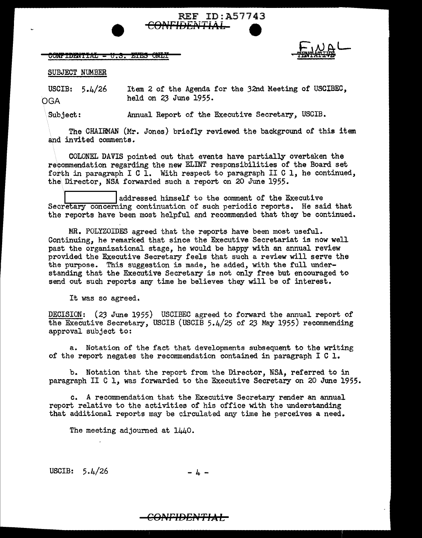### <del>CONFIDENTIAL = U.S. ETES ONLY</del>



## SUBJECT NUMBER

USCIB:  $5.4/26$ OGA Item 2 of the Agenda for the 32nd Meeting of USCIBEC, held on 23 June 1955.

REF ID:A57743<br>AFIDENTIAL

**e** 

Subject: Annual Report of the Executive Secretary, USCIB.

The CHAIRMAN (Mr. Jones) briefly reviewed the background of this item and invited comments.

COLONEL DAVIS pointed out that events have partially overtaken the recommendation regarding the new ELINT responsibilities of the Board set forth in paragraph I C  $\overline{1}$ . With respect to paragraph II C 1, he continued, the Director, NSA forwarded such a report on 20 June 1955.

addressed himself to the comment of the Executive Secretary concerning continuation of such periodic reports. He said that the reports have been most helpful and recommended that they be continued.

MR. POLYZOIDES agreed that the reports have been most useful. Continuing, he remarked that since the Executive Secretariat is now well past the organizational stage, he would be happy with an annual review provided the Executive Secretary feels that such a review will serve the the purpose. This suggestion is made, he added, with the full understanding that the Executive Secretary is not only free but encouraged to send out such reports any time he believes they will be of interest.

It was so agreed.

DECISION: *(23* June 1955) USCIBEC agreed to forward the annual report of the Executive Secretary, USCIB (USCIB 5.4/25 of 23 May 1955) recommending approval subject to:

a. Notation of the fact that developments subsequent to the writing of the report negates the recommendation contained in paragraph  $I C I$ .

b. Notation that the report from the Director, NSA, referred to in paragraph II C l, was forwarded to the Executive Secretary on 20 June 1955.

c. A recommendation that the Executive Secretary render an annual report relative to the activities of his office with the understanding that additional reports may be circulated any time he perceives a need.

The meeting adjourned at 1440.

USCIB:  $5.4/26$  - 4 -

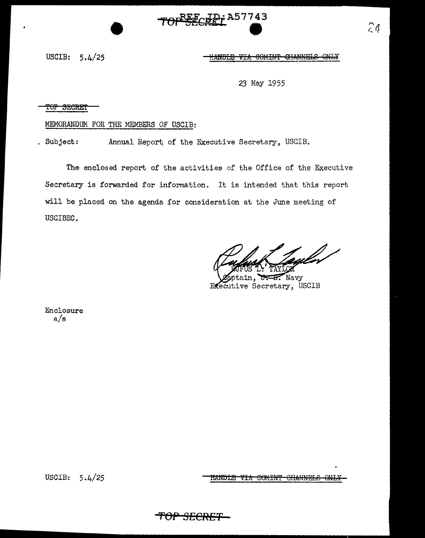

USCIB:  $5.4/25$  <del>HANDLE</del> ₩Ŧ₩ COMINT CHANNELS ONLY

23 May 1955

TOP SECRET

## MEMORANDUM FOR THE MEMBERS OF USCIB:

, Subject: Annual Report of the Executive Secretary, USCIB.

The enclosed report of the activities of the Office of the Executive Secretary is forwarded for information. It is intended that this report will be placed on the agenda for consideration at the June meeting of USCIBEC.

Navy Executive Secretary, USCIB

Enclosure  $a/s$ 

USCIB:  $5.4/25$  **HANDLE VIA COMINT CHANNELS ONLY** 

 $24$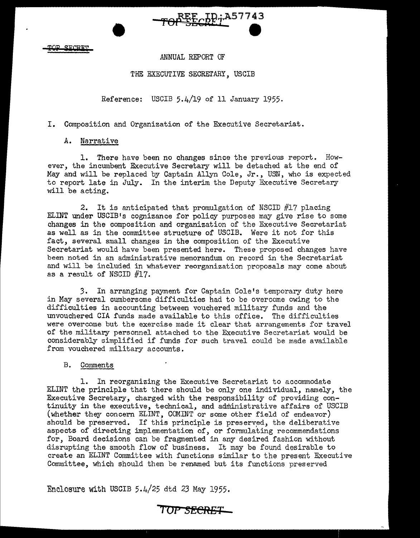$STCPTT$ 

ANNUAL REPORT OF

REE LD; A57743

# THE EXECUTIVE SECRETARY, USCIB

# Reference: USCIB 5.4/19 of 11 January 1955.

I. Composition and Organization of the Executive Secretariat.

# A. Narrative

•

1. There have been no changes since the previous report. However, the incumbent Executive Secretary will be detached at the end of May and will be replaced by Captain Allyn Cole, Jr., USN, who is expected to report late in July. In the interim the Deputy Executive Secretary will be acting.

2. It is anticipated that promulgation of NSCID #17 placing ELINT under USCIB's cognizance for policy purposes may give rise to some changes in the composition and organization of the Executive Secretariat as well as in the committee structure of USCIB. Were it not for this fact, several small changes in the composition of the Executive Secretariat would have been presented here. These proposed changes have been noted in an administrative memorandum on record in the Secretariat and will be included in whatever reorganization proposals may come about as a result of NSCID #17.

3. In arranging payment for Captain Cole's temporary duty here in May several cumbersome difficulties had to be overcome owing to the difficulties in accounting between vouchered military funds and the unvouchered CIA funds made available to this office. The difficulties were overcome but the exercise made it clear that arrangements for travel of the military personnel attached to the Executive Secretariat would be considerably simplified if funds for such travel could be made available from vouchered military accounts.

# B. Comments

1. In reorganizing the Executive Secretariat to accommodate ELINT the principle that there should be only one individual, namely, the Executive Secretary, charged with the responsibility of providing continuity in the executive, technical, and administrative affairs of USCIB (whether they concern ELINT, COMINT or some other field of endeavor) should be preserved. If this principle is preserved, the deliberative aspects of directing implementation of, or formulating recommendations for, Board decisions can be fragmented in any desired fashion without disrupting the smooth flow of business. It may be found desirable to create an ELINT Committee with functions similar to the present Executive Committee, which should then be renamed but its functions preserved

Enclosure with USCIB 5.4/25 dtd 23 May 1955.

**1'0P** *SECRET-*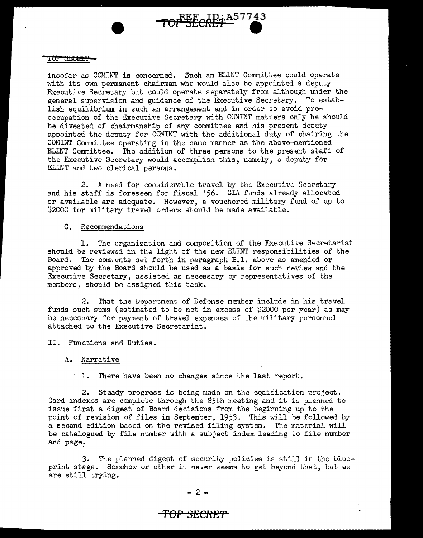

insofar as COMINT is concerned. Such an ELINT Committee could operate with its own permanent chairman who would also be appointed a deputy Executive Secretary but could operate separately from although under the general supervision and guidance of the Executive Secretary. To establish equilibrium in such an arrangement and in order to avoid preoccupation of the Executive Secretary with COMINT matters only he should be divested of chairmanship of any committee and his present deputy appointed the deputy for COMINT with the additional duty of chairing the COMINT Committee operating in the same manner as the above-mentioned ELINT Committee. The addition of three persons to the present staff of the Executive Secretary would accomplish this, namely, a deputy for ELINT and two clerical persons.

2. A need for considerable travel by the Executive Secretary and his staff is foreseen for fiscal '56. CIA funds already allocated or available are adequate. However, a vouchered military fund of up to \$2000 for military travel orders should be made available.

### C. Recommendations

1. The organization and composition of the Executive Secretariat should be reviewed in the light of the new ELINT responsibilities of the Board. The comments set forth in paragraph B.l. above as amended or approved by the Board should be used as a basis for such review and the Executive Secretary, assisted as necessary by representatives of the members, should be assigned this task.

2. That the Department of Defense member include in his travel funds such sums (estimated to be not in excess of \$2000 per year) as may be necessary for payment of travel expenses of the military personnel attached to the Executive Secretariat.

II. Functions and Duties.

### A. Narrative

1. There have been no changes since the last report.

2. Steady progress is being made on the cqdification project. Card indexes are complete through the 85th meeting and it is planned to issue first a digest of Board decisions from the beginning up to the point of revision of files in September, 1953. This will be followed by a second edition based on the revised filing system. The material will be catalogued by file number with a subject index leading to file number and page.

3. The planned digest of security policies is still in the blueprint stage. Somehow or other it never seems to get beyond that, but we are still trying.

## **'fOP SECftE'f'**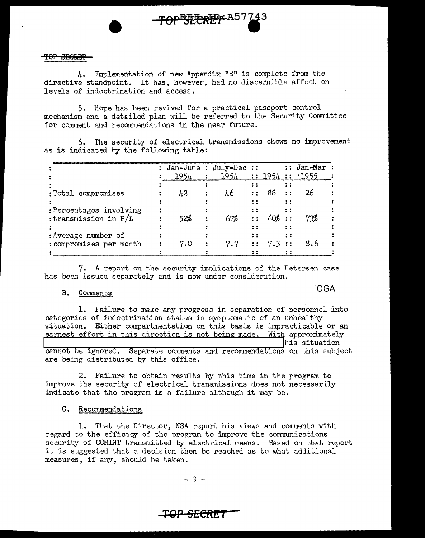Implementation of new Appendix "B" is complete from the 4. directive standpoint. It has, however, had no discernible affect on levels of indoctrination and access.

5. Hope has been revived for a practical passport control mechanism and a detailed plan will be referred to the Security Committee for comment and recommendations in the near future.

6. The security of electrical transmissions shows no improvement as is indicated by the following table:

|                         | : Jan-June : July-Dec :: |                            |     |              |              | $:$ Jan-Mar : |
|-------------------------|--------------------------|----------------------------|-----|--------------|--------------|---------------|
|                         | 1954                     | $1954$ :: $1954$ :: $1955$ |     |              |              |               |
|                         |                          |                            |     |              |              |               |
| :Total compromises      | 42                       | 46                         |     | 88           | $\mathbf{r}$ | 26            |
|                         |                          |                            |     |              |              |               |
| :Percentages involving  |                          |                            | ÷ ÷ |              |              |               |
| : transmission in $P/L$ | 52%                      | 67%                        |     |              |              | 73%           |
|                         |                          |                            |     |              | : :          |               |
| : Average number of     |                          |                            | ::  |              |              |               |
| : compromises per month | 7.0                      | 7.7                        |     | $\cdots$ 7.3 |              |               |
|                         |                          |                            |     |              |              |               |

7. A report on the security implications of the Petersen case has been issued separately and is now under consideration.

**OGA** 

#### B. Comments

1. Failure to make any progress in separation of personnel into categories of indoctrination status is symptomatic of an unhealthy situation. Either compartmentation on this basis is impracticable or an earnest effort in this direction is not being made. With approximately his situation

cannot be ignored. Separate comments and recommendations on this subject are being distributed by this office.

2. Failure to obtain results by this time in the program to improve the security of electrical transmissions does not necessarily indicate that the program is a failure although it may be.

#### C. Recommendations

1. That the Director, NSA report his views and comments with regard to the efficacy of the program to improve the communications security of COMINT transmitted by electrical means. Based on that report it is suggested that a decision then be reached as to what additional measures, if any, should be taken.

 $-3-$ 

# IOP SECRET